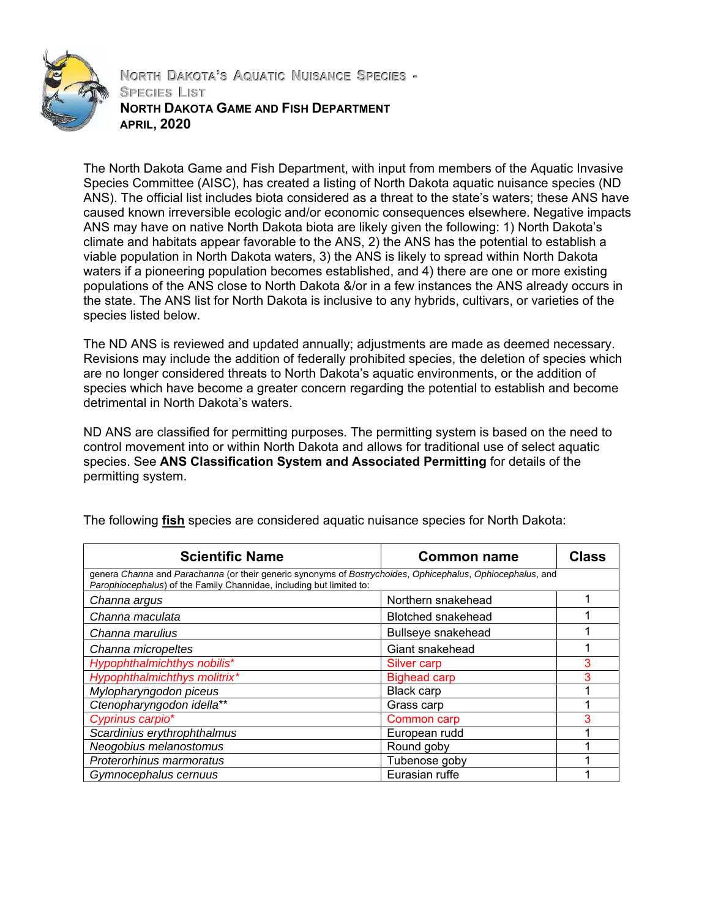

**NORTH DAKOTA'S AQUATIC NUISANCE SPECIES - SPECIES LIST NORTH DAKOTA GAME AND FISH DEPARTMENT APRIL, 2020**

The North Dakota Game and Fish Department, with input from members of the Aquatic Invasive Species Committee (AISC), has created a listing of North Dakota aquatic nuisance species (ND ANS). The official list includes biota considered as a threat to the state's waters; these ANS have caused known irreversible ecologic and/or economic consequences elsewhere. Negative impacts ANS may have on native North Dakota biota are likely given the following: 1) North Dakota's climate and habitats appear favorable to the ANS, 2) the ANS has the potential to establish a viable population in North Dakota waters, 3) the ANS is likely to spread within North Dakota waters if a pioneering population becomes established, and 4) there are one or more existing populations of the ANS close to North Dakota &/or in a few instances the ANS already occurs in the state. The ANS list for North Dakota is inclusive to any hybrids, cultivars, or varieties of the species listed below.

The ND ANS is reviewed and updated annually; adjustments are made as deemed necessary. Revisions may include the addition of federally prohibited species, the deletion of species which are no longer considered threats to North Dakota's aquatic environments, or the addition of species which have become a greater concern regarding the potential to establish and become detrimental in North Dakota's waters.

ND ANS are classified for permitting purposes. The permitting system is based on the need to control movement into or within North Dakota and allows for traditional use of select aquatic species. See **ANS Classification System and Associated Permitting** for details of the permitting system.

| <b>Scientific Name</b>                                                                                                                                                             | <b>Common name</b>        | <b>Class</b> |
|------------------------------------------------------------------------------------------------------------------------------------------------------------------------------------|---------------------------|--------------|
| genera Channa and Parachanna (or their generic synonyms of Bostrychoides, Ophicephalus, Ophiocephalus, and<br>Parophiocephalus) of the Family Channidae, including but limited to: |                           |              |
| Channa argus                                                                                                                                                                       | Northern snakehead        |              |
| Channa maculata                                                                                                                                                                    | <b>Blotched snakehead</b> |              |
| Channa marulius                                                                                                                                                                    | Bullseye snakehead        |              |
| Channa micropeltes                                                                                                                                                                 | Giant snakehead           |              |
| Hypophthalmichthys nobilis*                                                                                                                                                        | Silver carp               | 3            |
| Hypophthalmichthys molitrix*                                                                                                                                                       | <b>Bighead carp</b>       | 3            |
| Mylopharyngodon piceus                                                                                                                                                             | Black carp                |              |
| Ctenopharyngodon idella**                                                                                                                                                          | Grass carp                |              |
| Cyprinus carpio*                                                                                                                                                                   | Common carp               | っ            |
| Scardinius erythrophthalmus                                                                                                                                                        | European rudd             |              |
| Neogobius melanostomus                                                                                                                                                             | Round goby                |              |
| Proterorhinus marmoratus                                                                                                                                                           | Tubenose goby             |              |
| Gymnocephalus cernuus                                                                                                                                                              | Eurasian ruffe            |              |

The following **fish** species are considered aquatic nuisance species for North Dakota: